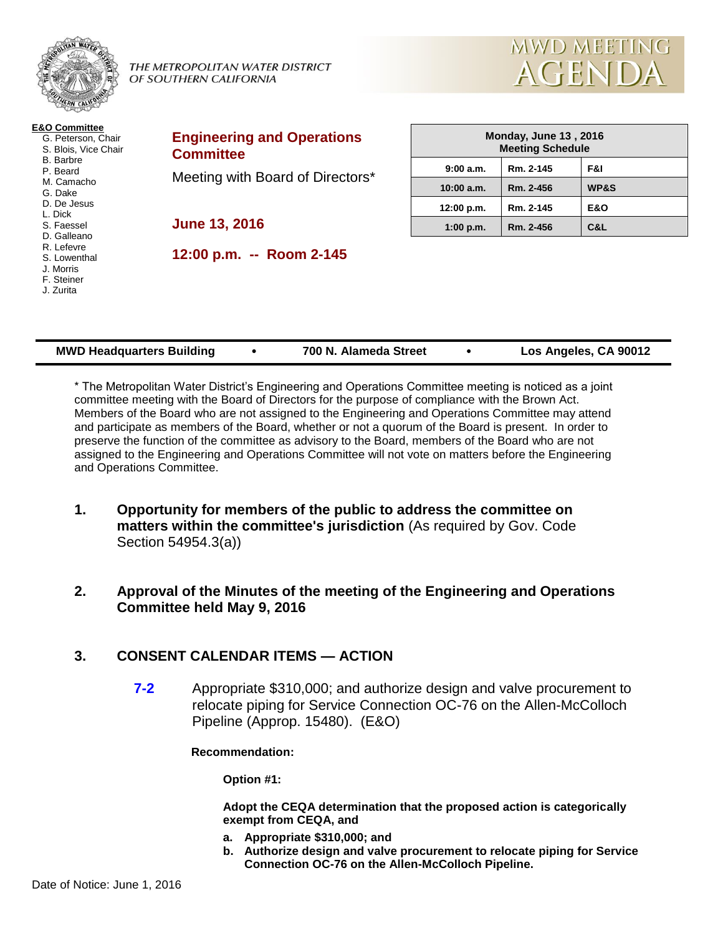

| <b>MWD Headquarters Building</b> |  | 700 N. Alameda Street |  | Los Angeles, CA 90012 |
|----------------------------------|--|-----------------------|--|-----------------------|
|----------------------------------|--|-----------------------|--|-----------------------|

\* The Metropolitan Water District's Engineering and Operations Committee meeting is noticed as a joint committee meeting with the Board of Directors for the purpose of compliance with the Brown Act. Members of the Board who are not assigned to the Engineering and Operations Committee may attend and participate as members of the Board, whether or not a quorum of the Board is present. In order to preserve the function of the committee as advisory to the Board, members of the Board who are not assigned to the Engineering and Operations Committee will not vote on matters before the Engineering and Operations Committee.

- **1. Opportunity for members of the public to address the committee on matters within the committee's jurisdiction** (As required by Gov. Code Section 54954.3(a))
- **2. Approval of the Minutes of the meeting of the Engineering and Operations Committee held May 9, 2016**

# **3. CONSENT CALENDAR ITEMS — ACTION**

**7-2** Appropriate \$310,000; and authorize design and valve procurement to relocate piping for Service Connection OC-76 on the Allen-McColloch Pipeline (Approp. 15480). (E&O)

**Recommendation:**

**Option #1:**

**Adopt the CEQA determination that the proposed action is categorically exempt from CEQA, and**

- **a. Appropriate \$310,000; and**
- **b. Authorize design and valve procurement to relocate piping for Service Connection OC-76 on the Allen-McColloch Pipeline.**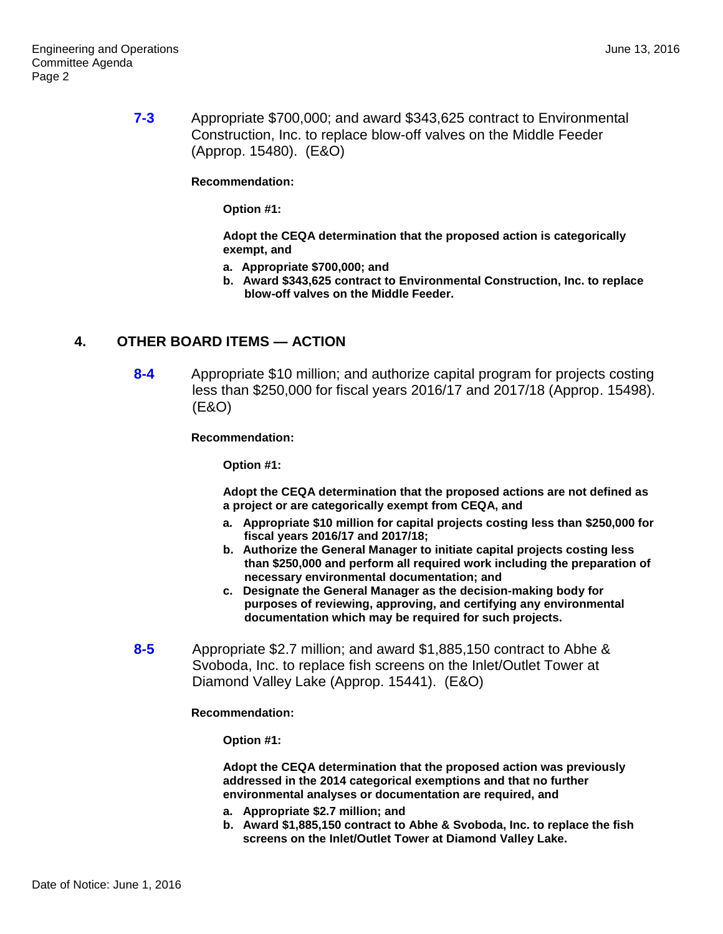**7-3** Appropriate \$700,000; and award \$343,625 contract to Environmental Construction, Inc. to replace blow-off valves on the Middle Feeder (Approp. 15480). (E&O)

**Recommendation:**

**Option #1:**

**Adopt the CEQA determination that the proposed action is categorically exempt, and**

- **a. Appropriate \$700,000; and**
- **b. Award \$343,625 contract to Environmental Construction, Inc. to replace blow-off valves on the Middle Feeder.**

#### **4. OTHER BOARD ITEMS — ACTION**

**8-4** Appropriate \$10 million; and authorize capital program for projects costing less than \$250,000 for fiscal years 2016/17 and 2017/18 (Approp. 15498). (E&O)

**Recommendation:**

**Option #1:**

**Adopt the CEQA determination that the proposed actions are not defined as a project or are categorically exempt from CEQA, and**

- **a. Appropriate \$10 million for capital projects costing less than \$250,000 for fiscal years 2016/17 and 2017/18;**
- **b. Authorize the General Manager to initiate capital projects costing less than \$250,000 and perform all required work including the preparation of necessary environmental documentation; and**
- **c. Designate the General Manager as the decision-making body for purposes of reviewing, approving, and certifying any environmental documentation which may be required for such projects.**
- **8-5** Appropriate \$2.7 million; and award \$1,885,150 contract to Abhe & Svoboda, Inc. to replace fish screens on the Inlet/Outlet Tower at Diamond Valley Lake (Approp. 15441). (E&O)

**Recommendation:**

**Option #1:**

**Adopt the CEQA determination that the proposed action was previously addressed in the 2014 categorical exemptions and that no further environmental analyses or documentation are required, and**

- **a. Appropriate \$2.7 million; and**
- **b. Award \$1,885,150 contract to Abhe & Svoboda, Inc. to replace the fish screens on the Inlet/Outlet Tower at Diamond Valley Lake.**